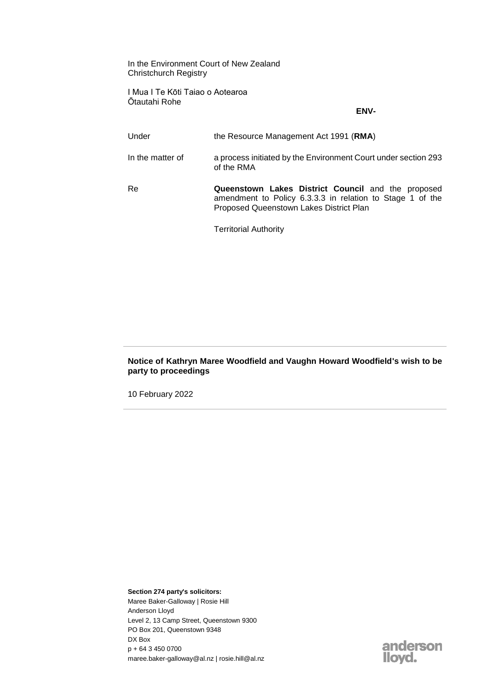In the Environment Court of New Zealand Christchurch Registry

I Mua I Te Kōti Taiao o Aotearoa Ōtautahi Rohe

## **ENV-**

| Under            | the Resource Management Act 1991 (RMA)                                                                                                                     |
|------------------|------------------------------------------------------------------------------------------------------------------------------------------------------------|
| In the matter of | a process initiated by the Environment Court under section 293<br>of the RMA                                                                               |
| Re               | Queenstown Lakes District Council and the proposed<br>amendment to Policy 6.3.3.3 in relation to Stage 1 of the<br>Proposed Queenstown Lakes District Plan |
|                  | <b>Territorial Authority</b>                                                                                                                               |

## **Notice of Kathryn Maree Woodfield and Vaughn Howard Woodfield's wish to be party to proceedings**

10 February 2022

**Section 274 party's solicitors:** Maree Baker-Galloway | Rosie Hill Anderson Lloyd Level 2, 13 Camp Street, Queenstown 9300 PO Box 201, Queenstown 9348 DX Box p + 64 3 450 0700 maree.baker-galloway@al.nz | rosie.hill@al.nz

anderson<br>Iloyd.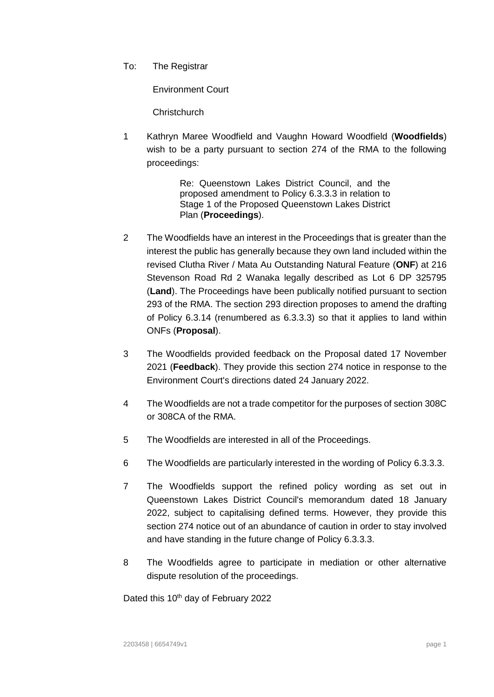To: The Registrar

Environment Court

Christchurch

1 Kathryn Maree Woodfield and Vaughn Howard Woodfield (**Woodfields**) wish to be a party pursuant to section 274 of the RMA to the following proceedings:

> Re: Queenstown Lakes District Council, and the proposed amendment to Policy 6.3.3.3 in relation to Stage 1 of the Proposed Queenstown Lakes District Plan (**Proceedings**).

- 2 The Woodfields have an interest in the Proceedings that is greater than the interest the public has generally because they own land included within the revised Clutha River / Mata Au Outstanding Natural Feature (**ONF**) at 216 Stevenson Road Rd 2 Wanaka legally described as Lot 6 DP 325795 (**Land**). The Proceedings have been publically notified pursuant to section 293 of the RMA. The section 293 direction proposes to amend the drafting of Policy 6.3.14 (renumbered as 6.3.3.3) so that it applies to land within ONFs (**Proposal**).
- 3 The Woodfields provided feedback on the Proposal dated 17 November 2021 (**Feedback**). They provide this section 274 notice in response to the Environment Court's directions dated 24 January 2022.
- 4 The Woodfields are not a trade competitor for the purposes of section 308C or 308CA of the RMA.
- 5 The Woodfields are interested in all of the Proceedings.
- 6 The Woodfields are particularly interested in the wording of Policy 6.3.3.3.
- 7 The Woodfields support the refined policy wording as set out in Queenstown Lakes District Council's memorandum dated 18 January 2022, subject to capitalising defined terms. However, they provide this section 274 notice out of an abundance of caution in order to stay involved and have standing in the future change of Policy 6.3.3.3.
- 8 The Woodfields agree to participate in mediation or other alternative dispute resolution of the proceedings.

Dated this 10<sup>th</sup> day of February 2022